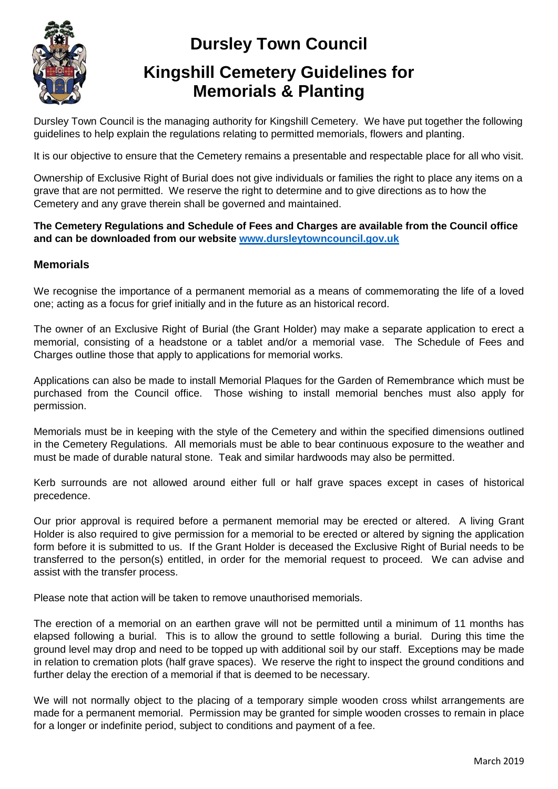

# **Dursley Town Council**

# **Kingshill Cemetery Guidelines for Memorials & Planting**

Dursley Town Council is the managing authority for Kingshill Cemetery. We have put together the following guidelines to help explain the regulations relating to permitted memorials, flowers and planting.

It is our objective to ensure that the Cemetery remains a presentable and respectable place for all who visit.

Ownership of Exclusive Right of Burial does not give individuals or families the right to place any items on a grave that are not permitted. We reserve the right to determine and to give directions as to how the Cemetery and any grave therein shall be governed and maintained.

#### **The Cemetery Regulations and Schedule of Fees and Charges are available from the Council office and can be downloaded from our website [www.dursleytowncouncil.gov.uk](http://www.dursleytowncouncil.gov.uk/)**

### **Memorials**

We recognise the importance of a permanent memorial as a means of commemorating the life of a loved one; acting as a focus for grief initially and in the future as an historical record.

The owner of an Exclusive Right of Burial (the Grant Holder) may make a separate application to erect a memorial, consisting of a headstone or a tablet and/or a memorial vase. The Schedule of Fees and Charges outline those that apply to applications for memorial works.

Applications can also be made to install Memorial Plaques for the Garden of Remembrance which must be purchased from the Council office. Those wishing to install memorial benches must also apply for permission.

Memorials must be in keeping with the style of the Cemetery and within the specified dimensions outlined in the Cemetery Regulations. All memorials must be able to bear continuous exposure to the weather and must be made of durable natural stone. Teak and similar hardwoods may also be permitted.

Kerb surrounds are not allowed around either full or half grave spaces except in cases of historical precedence.

Our prior approval is required before a permanent memorial may be erected or altered. A living Grant Holder is also required to give permission for a memorial to be erected or altered by signing the application form before it is submitted to us. If the Grant Holder is deceased the Exclusive Right of Burial needs to be transferred to the person(s) entitled, in order for the memorial request to proceed. We can advise and assist with the transfer process.

Please note that action will be taken to remove unauthorised memorials.

The erection of a memorial on an earthen grave will not be permitted until a minimum of 11 months has elapsed following a burial. This is to allow the ground to settle following a burial. During this time the ground level may drop and need to be topped up with additional soil by our staff. Exceptions may be made in relation to cremation plots (half grave spaces). We reserve the right to inspect the ground conditions and further delay the erection of a memorial if that is deemed to be necessary.

We will not normally object to the placing of a temporary simple wooden cross whilst arrangements are made for a permanent memorial. Permission may be granted for simple wooden crosses to remain in place for a longer or indefinite period, subject to conditions and payment of a fee.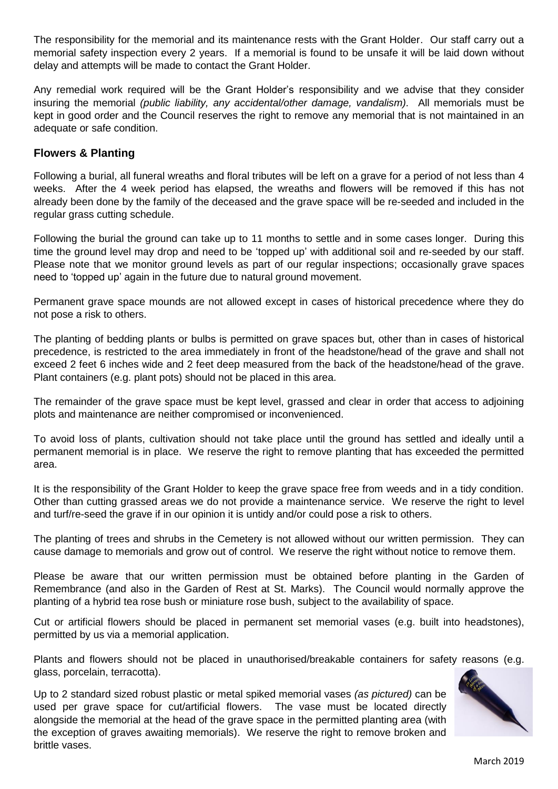The responsibility for the memorial and its maintenance rests with the Grant Holder. Our staff carry out a memorial safety inspection every 2 years. If a memorial is found to be unsafe it will be laid down without delay and attempts will be made to contact the Grant Holder.

Any remedial work required will be the Grant Holder's responsibility and we advise that they consider insuring the memorial *(public liability, any accidental/other damage, vandalism).* All memorials must be kept in good order and the Council reserves the right to remove any memorial that is not maintained in an adequate or safe condition.

### **Flowers & Planting**

Following a burial, all funeral wreaths and floral tributes will be left on a grave for a period of not less than 4 weeks. After the 4 week period has elapsed, the wreaths and flowers will be removed if this has not already been done by the family of the deceased and the grave space will be re-seeded and included in the regular grass cutting schedule.

Following the burial the ground can take up to 11 months to settle and in some cases longer. During this time the ground level may drop and need to be 'topped up' with additional soil and re-seeded by our staff. Please note that we monitor ground levels as part of our regular inspections; occasionally grave spaces need to 'topped up' again in the future due to natural ground movement.

Permanent grave space mounds are not allowed except in cases of historical precedence where they do not pose a risk to others.

The planting of bedding plants or bulbs is permitted on grave spaces but, other than in cases of historical precedence, is restricted to the area immediately in front of the headstone/head of the grave and shall not exceed 2 feet 6 inches wide and 2 feet deep measured from the back of the headstone/head of the grave. Plant containers (e.g. plant pots) should not be placed in this area.

The remainder of the grave space must be kept level, grassed and clear in order that access to adjoining plots and maintenance are neither compromised or inconvenienced.

To avoid loss of plants, cultivation should not take place until the ground has settled and ideally until a permanent memorial is in place. We reserve the right to remove planting that has exceeded the permitted area.

It is the responsibility of the Grant Holder to keep the grave space free from weeds and in a tidy condition. Other than cutting grassed areas we do not provide a maintenance service. We reserve the right to level and turf/re-seed the grave if in our opinion it is untidy and/or could pose a risk to others.

The planting of trees and shrubs in the Cemetery is not allowed without our written permission. They can cause damage to memorials and grow out of control. We reserve the right without notice to remove them.

Please be aware that our written permission must be obtained before planting in the Garden of Remembrance (and also in the Garden of Rest at St. Marks). The Council would normally approve the planting of a hybrid tea rose bush or miniature rose bush, subject to the availability of space.

Cut or artificial flowers should be placed in permanent set memorial vases (e.g. built into headstones), permitted by us via a memorial application.

Plants and flowers should not be placed in unauthorised/breakable containers for safety reasons (e.g. glass, porcelain, terracotta).

Up to 2 standard sized robust plastic or metal spiked memorial vases *(as pictured)* can be used per grave space for cut/artificial flowers. The vase must be located directly alongside the memorial at the head of the grave space in the permitted planting area (with the exception of graves awaiting memorials). We reserve the right to remove broken and brittle vases.